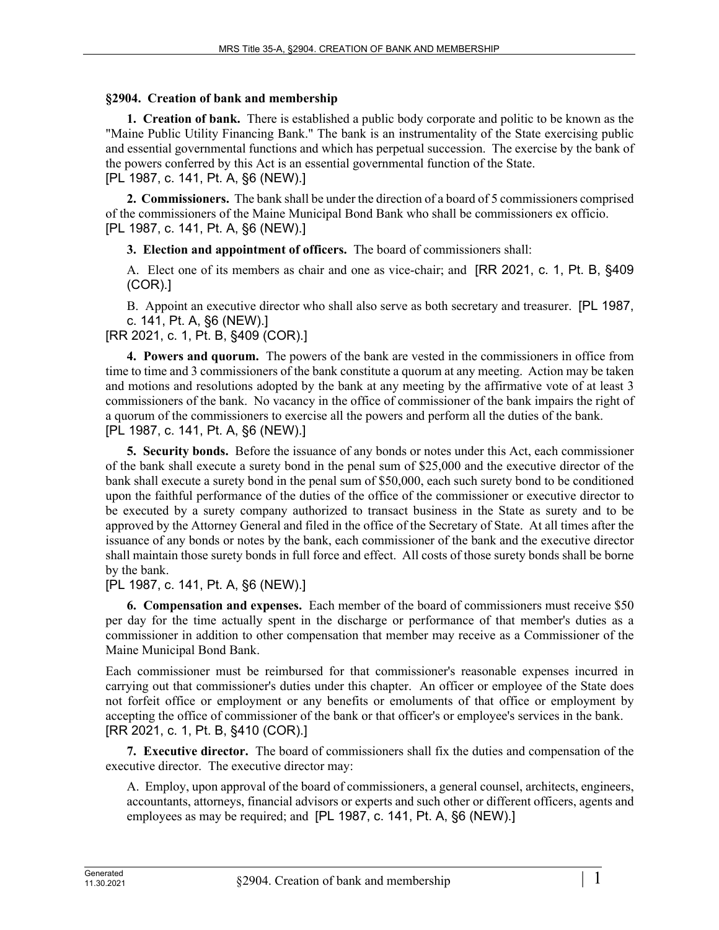## **§2904. Creation of bank and membership**

**1. Creation of bank.** There is established a public body corporate and politic to be known as the "Maine Public Utility Financing Bank." The bank is an instrumentality of the State exercising public and essential governmental functions and which has perpetual succession. The exercise by the bank of the powers conferred by this Act is an essential governmental function of the State. [PL 1987, c. 141, Pt. A, §6 (NEW).]

**2. Commissioners.** The bank shall be under the direction of a board of 5 commissioners comprised of the commissioners of the Maine Municipal Bond Bank who shall be commissioners ex officio. [PL 1987, c. 141, Pt. A, §6 (NEW).]

**3. Election and appointment of officers.** The board of commissioners shall:

A. Elect one of its members as chair and one as vice-chair; and [RR 2021, c. 1, Pt. B, §409 (COR).]

B. Appoint an executive director who shall also serve as both secretary and treasurer. [PL 1987, c. 141, Pt. A, §6 (NEW).]

[RR 2021, c. 1, Pt. B, §409 (COR).]

**4. Powers and quorum.** The powers of the bank are vested in the commissioners in office from time to time and 3 commissioners of the bank constitute a quorum at any meeting. Action may be taken and motions and resolutions adopted by the bank at any meeting by the affirmative vote of at least 3 commissioners of the bank. No vacancy in the office of commissioner of the bank impairs the right of a quorum of the commissioners to exercise all the powers and perform all the duties of the bank. [PL 1987, c. 141, Pt. A, §6 (NEW).]

**5. Security bonds.** Before the issuance of any bonds or notes under this Act, each commissioner of the bank shall execute a surety bond in the penal sum of \$25,000 and the executive director of the bank shall execute a surety bond in the penal sum of \$50,000, each such surety bond to be conditioned upon the faithful performance of the duties of the office of the commissioner or executive director to be executed by a surety company authorized to transact business in the State as surety and to be approved by the Attorney General and filed in the office of the Secretary of State. At all times after the issuance of any bonds or notes by the bank, each commissioner of the bank and the executive director shall maintain those surety bonds in full force and effect. All costs of those surety bonds shall be borne by the bank.

[PL 1987, c. 141, Pt. A, §6 (NEW).]

**6. Compensation and expenses.** Each member of the board of commissioners must receive \$50 per day for the time actually spent in the discharge or performance of that member's duties as a commissioner in addition to other compensation that member may receive as a Commissioner of the Maine Municipal Bond Bank.

Each commissioner must be reimbursed for that commissioner's reasonable expenses incurred in carrying out that commissioner's duties under this chapter. An officer or employee of the State does not forfeit office or employment or any benefits or emoluments of that office or employment by accepting the office of commissioner of the bank or that officer's or employee's services in the bank. [RR 2021, c. 1, Pt. B, §410 (COR).]

**7. Executive director.** The board of commissioners shall fix the duties and compensation of the executive director. The executive director may:

A. Employ, upon approval of the board of commissioners, a general counsel, architects, engineers, accountants, attorneys, financial advisors or experts and such other or different officers, agents and employees as may be required; and [PL 1987, c. 141, Pt. A, §6 (NEW).]